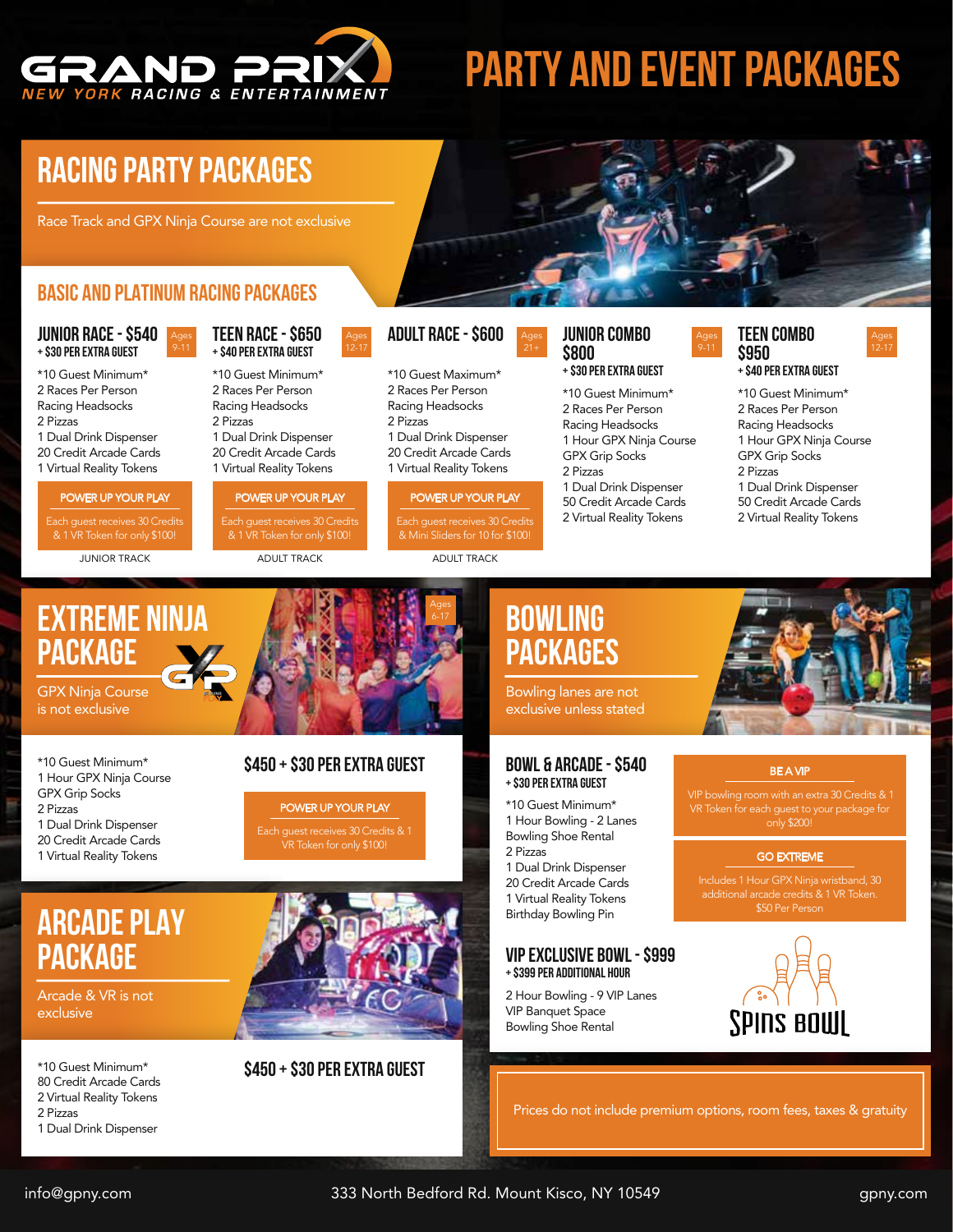

# **PARTY AND EVENT PACKAGES**

## **RACING PARTY PACKAGES**

Race Track and GPX Ninja Course are not exclusive

### **BASIC AND PLATINUM RACING PACKAGES**

Ages 9-11

### **JUNIOR RACE - \$540 + \$30 Per EXTRA GUEST**

2 Races Per Person Racing Headsocks 2 Pizzas 1 Dual Drink Dispenser 20 Credit Arcade Cards 1 Virtual Reality Tokens

### POWER UP YOUR PLAY

Each guest receives 30 Credits & 1 VR Token for only \$100!

**JUNIOR TRACK ADULT TRACK ADULT TRACK ADULT TRACK** 

### **TEEN RACE - \$650 + \$40 Per EXTRA GUEST**

**+ \$40 Per EXTRA GUEST** \*10 Guest Minimum\* \*10 Guest Maximum\* \*10 Guest Minimum\* 2 Races Per Person Racing Headsocks 2 Pizzas 1 Dual Drink Dispenser 20 Credit Arcade Cards 1 Virtual Reality Tokens

### POWER UP YOUR PLAY

Each guest receives 30 Credits & 1 VR Token for only \$100!

Ages 12-17

### **ADULT RACE - \$600**

2 Races Per Person Racing Headsocks 2 Pizzas 1 Dual Drink Dispenser 20 Credit Arcade Cards 1 Virtual Reality Tokens

### POWER UP YOUR PLAY

& Mini Sliders for 10 for \$100!

Ages 6-17

### **JUNIOR COMBO \$800**

### **+ \$30 Per EXTRA GUEST**

\*10 Guest Minimum\* 2 Races Per Person Racing Headsocks 1 Hour GPX Ninja Course GPX Grip Socks 2 Pizzas 1 Dual Drink Dispenser 50 Credit Arcade Cards 2 Virtual Reality Tokens

### **TEEN COMBO \$950**<br>+ \$40 PER EXTRA GUEST

Ages 9-11

Ages 12-17

\*10 Guest Minimum\* 2 Races Per Person Racing Headsocks 1 Hour GPX Ninja Course GPX Grip Socks 2 Pizzas 1 Dual Drink Dispenser 50 Credit Arcade Cards 2 Virtual Reality Tokens

## **EXTREME NINJA PACKAGE**

GPX Ninja Course is not exclusive

\*10 Guest Minimum\* 1 Hour GPX Ninja Course GPX Grip Socks 2 Pizzas 1 Dual Drink Dispenser 20 Credit Arcade Cards 1 Virtual Reality Tokens

### **\$450 + \$30 Per EXTRA GUEST**

POWER UP YOUR PLAY

Each guest receives 30 Credits & 1 VR Token for only \$100!

## **Arcade PLAY PACKAGE**

Arcade & VR is not exclusive

\*10 Guest Minimum\*

- 80 Credit Arcade Cards
- 2 Virtual Reality Tokens 2 Pizzas
- 1 Dual Drink Dispenser



**\$450 + \$30 Per EXTRA GUEST**

## **BOWLING PACKAGES**

Bowling lanes are not exclusive unless stated

### **BOWL & ARCADE - \$540 + \$30 Per EXTRA GUEST**

- \*10 Guest Minimum\* 1 Hour Bowling - 2 Lanes Bowling Shoe Rental
- 2 Pizzas
- 1 Dual Drink Dispenser

20 Credit Arcade Cards 1 Virtual Reality Tokens Birthday Bowling Pin

### **VIP EXCLUSIVE BOwL - \$999 + \$399 Per ADDITIONAL HOUR**

2 Hour Bowling - 9 VIP Lanes VIP Banquet Space Bowling Shoe Rental



### BE A VIP

 VIP bowling room with an extra 30 Credits & 1 only \$200!

### GO EXTREME

additional arcade credits & 1 VR Token. \$50 Per Person



Prices do not include premium options, room fees, taxes & gratuity